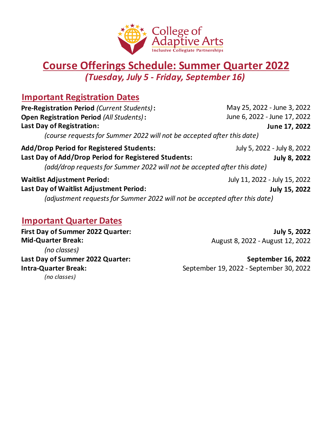

### **Course Offerings Schedule: Summer Quarter 2022** *(Tuesday, July 5 - Friday, September 16)*

#### **Important Registration Dates**

**Pre-Registration Period** *(Current Students)***:** May 25, 2022 - June 3, 2022 **Open Registration Period** *(All Students)***:** June 6, 2022 - June 17, 2022 **Last Day of Registration: June 17, 2022** *(course requests for Summer 2022 will not be accepted after this date)* **Add/Drop Period for Registered Students:** July 5, 2022 - July 8, 2022 **Last Day of Add/Drop Period for Registered Students: July 8, 2022** *(add/drop requests for Summer 2022 will not be accepted after this date)* **Waitlist Adjustment Period:** July 11, 2022 - July 15, 2022 **Last Day of Waitlist Adjustment Period: July 15, 2022** *(adjustment requests for Summer 2022 will not be accepted after this date)*

#### **Important Quarter Dates**

**First Day of Summer 2022 Quarter: July 5, 2022 Mid-Quarter Break:** August 8, 2022 - August 12, 2022 *(no classes) (no classes)*

Last Day of Summer 2022 Quarter: **September 16, 2022 Intra-Quarter Break:** September 19, 2022 - September 30, 2022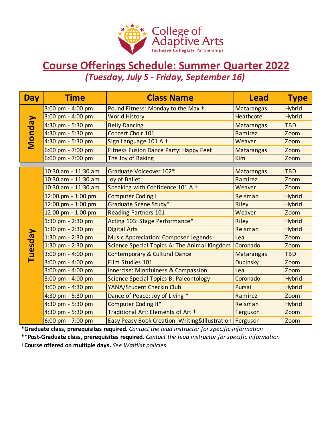

## **Course Offerings Schedule: Summer Quarter 2022** *(Tuesday, July 5 - Friday, September 16)*

| <b>Day</b>                                                                                          | <b>Time</b>         | <b>Class Name</b>                                         | <b>Lead</b>       | <b>Type</b>   |  |  |  |  |
|-----------------------------------------------------------------------------------------------------|---------------------|-----------------------------------------------------------|-------------------|---------------|--|--|--|--|
| <b>Monday</b>                                                                                       | 3:00 pm - 4:00 pm   | Pound Fitness: Monday to the Max +                        | <b>Matarangas</b> | <b>Hybrid</b> |  |  |  |  |
|                                                                                                     | 3:00 pm - 4:00 pm   | <b>World History</b>                                      | Heathcote         | <b>Hybrid</b> |  |  |  |  |
|                                                                                                     | 4:30 pm - 5:30 pm   | <b>Belly Dancing</b>                                      | <b>Matarangas</b> | <b>TBD</b>    |  |  |  |  |
|                                                                                                     | 4:30 pm - 5:30 pm   | Concert Choir 101                                         | Ramirez           | Zoom          |  |  |  |  |
|                                                                                                     | 4:30 pm - 5:30 pm   | Sign Language 101 A +                                     | Weaver            | Zoom          |  |  |  |  |
|                                                                                                     | 6:00 pm - 7:00 pm   | <b>Fitness Fusion Dance Party: Happy Feet</b>             | <b>Matarangas</b> | Zoom          |  |  |  |  |
|                                                                                                     | 6:00 pm - 7:00 pm   | The Joy of Baking                                         | <b>Kim</b>        | Zoom          |  |  |  |  |
|                                                                                                     | 10:30 am - 11:30 am | Graduate Voiceover 102*                                   | <b>Matarangas</b> | <b>TBD</b>    |  |  |  |  |
|                                                                                                     | 10:30 am - 11:30 am | <b>Joy of Ballet</b>                                      | Ramirez           | Zoom          |  |  |  |  |
|                                                                                                     | 10:30 am - 11:30 am | Speaking with Confidence 101 A +                          | Weaver            | Zoom          |  |  |  |  |
|                                                                                                     | 12:00 pm - 1:00 pm  | <b>Computer Coding I</b>                                  | Reisman           | <b>Hybrid</b> |  |  |  |  |
|                                                                                                     | 12:00 pm - 1:00 pm  | Graduate Scene Study*                                     | Riley             | <b>Hybrid</b> |  |  |  |  |
|                                                                                                     | 12:00 pm - 1:00 pm  | <b>Reading Partners 101</b>                               | Weaver            | Zoom          |  |  |  |  |
|                                                                                                     | 1:30 pm - 2:30 pm   | Acting 103: Stage Performance*                            | Riley             | <b>Hybrid</b> |  |  |  |  |
|                                                                                                     | 1:30 pm - 2:30 pm   | <b>Digital Arts</b>                                       | Reisman           | <b>Hybrid</b> |  |  |  |  |
|                                                                                                     | 1:30 pm - 2:30 pm   | <b>Music Appreciation: Composer Legends</b>               | Lea               | Zoom          |  |  |  |  |
| Tuesday                                                                                             | 1:30 pm - 2:30 pm   | Science Special Topics A: The Animal Kingdom              | Coronado          | Zoom          |  |  |  |  |
|                                                                                                     | 3:00 pm - 4:00 pm   | Contemporary & Cultural Dance                             | Matarangas        | <b>TBD</b>    |  |  |  |  |
|                                                                                                     | 3:00 pm - 4:00 pm   | Film Studies 101                                          | <b>Dubinsky</b>   | Zoom          |  |  |  |  |
|                                                                                                     | 3:00 pm - 4:00 pm   | <b>Innercise: Mindfulness &amp; Compassion</b>            | Lea               | Zoom          |  |  |  |  |
|                                                                                                     | 3:00 pm - 4:00 pm   | <b>Science Special Topics B: Paleontology</b>             | Coronado          | <b>Hybrid</b> |  |  |  |  |
|                                                                                                     | 4:00 pm - 4:30 pm   | YANA/Student Checkin Club                                 | Pursai            | <b>Hybrid</b> |  |  |  |  |
|                                                                                                     | 4:30 pm - 5:30 pm   | Dance of Peace: Joy of Living +                           | Ramirez           | Zoom          |  |  |  |  |
|                                                                                                     | 4:30 pm - 5:30 pm   | Computer Coding II*                                       | Reisman           | <b>Hybrid</b> |  |  |  |  |
|                                                                                                     | 4:30 pm - 5:30 pm   | Traditional Art: Elements of Art +                        | Ferguson          | Zoom          |  |  |  |  |
|                                                                                                     | 6:00 pm - 7:00 pm   | Easy Peasy Book Creation: Writing&Illustration   Ferguson |                   | Zoom          |  |  |  |  |
| *Graduate class, prerequisites required. Contact the lead instructor for specific information       |                     |                                                           |                   |               |  |  |  |  |
| **Post-Graduate class, prerequisites required. Contact the lead instructor for specific information |                     |                                                           |                   |               |  |  |  |  |
| +Course offered on multiple days. See Waitlist policies                                             |                     |                                                           |                   |               |  |  |  |  |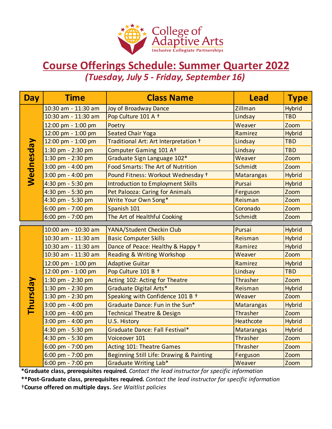

## **Course Offerings Schedule: Summer Quarter 2022** *(Tuesday, July 5 - Friday, September 16)*

| <b>Day</b>                                                                                          | <b>Time</b>           | <b>Class Name</b>                        | <b>Lead</b>       | <b>Type</b>   |  |  |  |
|-----------------------------------------------------------------------------------------------------|-----------------------|------------------------------------------|-------------------|---------------|--|--|--|
| <b>Wednesday</b>                                                                                    | 10:30 am - 11:30 am   | <b>Joy of Broadway Dance</b>             | Zillman           | <b>Hybrid</b> |  |  |  |
|                                                                                                     | 10:30 am - 11:30 am   | Pop Culture 101 A +                      | Lindsay           | <b>TBD</b>    |  |  |  |
|                                                                                                     | 12:00 pm - 1:00 pm    | Poetry                                   | Weaver            | Zoom          |  |  |  |
|                                                                                                     | 12:00 pm - 1:00 pm    | <b>Seated Chair Yoga</b>                 | Ramirez           | <b>Hybrid</b> |  |  |  |
|                                                                                                     | 12:00 pm - 1:00 pm    | Traditional Art: Art Interpretation +    | Lindsay           | <b>TBD</b>    |  |  |  |
|                                                                                                     | 1:30 pm - 2:30 pm     | Computer Gaming 101 At                   | Lindsay           | <b>TBD</b>    |  |  |  |
|                                                                                                     | 1:30 pm - 2:30 pm     | Graduate Sign Language 102*              | Weaver            | Zoom          |  |  |  |
|                                                                                                     | 3:00 pm - 4:00 pm     | <b>Food Smarts: The Art of Nutrition</b> | Schmidt           | Zoom          |  |  |  |
|                                                                                                     | 3:00 pm - 4:00 pm     | Pound Fitness: Workout Wednesday +       | <b>Matarangas</b> | <b>Hybrid</b> |  |  |  |
|                                                                                                     | 4:30 pm - 5:30 pm     | <b>Introduction to Employment Skills</b> | Pursai            | <b>Hybrid</b> |  |  |  |
|                                                                                                     | 4:30 pm - 5:30 pm     | <b>Pet Palooza: Caring for Animals</b>   | Ferguson          | Zoom          |  |  |  |
|                                                                                                     | 4:30 pm - 5:30 pm     | Write Your Own Song*                     | Reisman           | Zoom          |  |  |  |
|                                                                                                     | 6:00 pm - 7:00 pm     | Spanish 101                              | Coronado          | Zoom          |  |  |  |
|                                                                                                     | 6:00 pm - 7:00 pm     | The Art of Healthful Cooking             | Schmidt           | Zoom          |  |  |  |
|                                                                                                     | 10:00 am - 10:30 am   | YANA/Student Checkin Club                | Pursai            | <b>Hybrid</b> |  |  |  |
|                                                                                                     | 10:30 am - 11:30 am   | <b>Basic Computer Skills</b>             | Reisman           | <b>Hybrid</b> |  |  |  |
|                                                                                                     | 10:30 am - 11:30 am   | Dance of Peace: Healthy & Happy +        | Ramirez           | <b>Hybrid</b> |  |  |  |
|                                                                                                     | 10:30 am - 11:30 am   | <b>Reading &amp; Writing Workshop</b>    | Weaver            | Zoom          |  |  |  |
|                                                                                                     | 12:00 pm - 1:00 pm    | <b>Adaptive Guitar</b>                   | Ramirez           | Hybrid        |  |  |  |
|                                                                                                     | 12:00 pm - 1:00 pm    | Pop Culture 101 B +                      | Lindsay           | <b>TBD</b>    |  |  |  |
|                                                                                                     | 1:30 pm - 2:30 pm     | Acting 102: Acting for Theatre           | <b>Thrasher</b>   | Zoom          |  |  |  |
|                                                                                                     | 1:30 pm - 2:30 pm     | Graduate Digital Arts*                   | Reisman           | <b>Hybrid</b> |  |  |  |
|                                                                                                     | 1:30 pm - 2:30 pm     | Speaking with Confidence 101 B +         | Weaver            | Zoom          |  |  |  |
| <b>Thursday</b>                                                                                     | $3:00$ pm - $4:00$ pm | Graduate Dance: Fun in the Sun*          | <b>Matarangas</b> | <b>Hybrid</b> |  |  |  |
|                                                                                                     | 3:00 pm - 4:00 pm     | <b>Technical Theatre &amp; Design</b>    | Thrasher          | Zoom          |  |  |  |
|                                                                                                     | 3:00 pm - 4:00 pm     | U.S. History                             | Heathcote         | <b>Hybrid</b> |  |  |  |
|                                                                                                     | 4:30 pm - 5:30 pm     | Graduate Dance: Fall Festival*           | Matarangas        | <b>Hybrid</b> |  |  |  |
|                                                                                                     | 4:30 pm - 5:30 pm     | Voiceover 101                            | Thrasher          | Zoom          |  |  |  |
|                                                                                                     | 6:00 pm - 7:00 pm     | <b>Acting 101: Theatre Games</b>         | <b>Thrasher</b>   | Zoom          |  |  |  |
|                                                                                                     | $6:00$ pm - 7:00 pm   | Beginning Still Life: Drawing & Painting | Ferguson          | Zoom          |  |  |  |
|                                                                                                     | 6:00 pm - 7:00 pm     | <b>Graduate Writing Lab*</b>             | Weaver            | Zoom          |  |  |  |
| *Graduate class, prerequisites required. Contact the lead instructor for specific information       |                       |                                          |                   |               |  |  |  |
| **Post-Graduate class, prerequisites required. Contact the lead instructor for specific information |                       |                                          |                   |               |  |  |  |
| +Course offered on multiple days. See Waitlist policies                                             |                       |                                          |                   |               |  |  |  |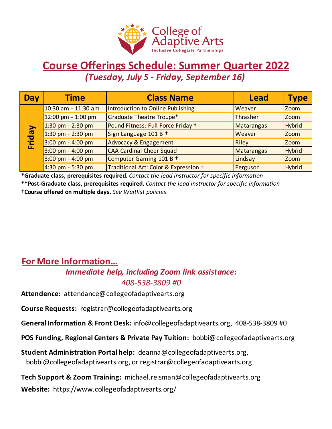

## *(Tuesday, July 5 - Friday, September 16)* **Course Offerings Schedule: Summer Quarter 2022**

| Day    | <b>Time</b>         | <b>Class Name</b>                     | <b>Lead</b>       | <b>Type</b>   |
|--------|---------------------|---------------------------------------|-------------------|---------------|
| Friday | 10:30 am - 11:30 am | Introduction to Online Publishing     | Weaver            | <b>Zoom</b>   |
|        | 12:00 pm - 1:00 pm  | <b>Graduate Theatre Troupe*</b>       | Thrasher          | <b>Zoom</b>   |
|        | 1:30 pm - 2:30 pm   | Pound Fitness: Full Force Friday +    | Matarangas        | Hybrid        |
|        | 1:30 pm - 2:30 pm   | Sign Language 101 B +                 | Weaver            | <b>Zoom</b>   |
|        | 3:00 pm - 4:00 pm   | <b>Advocacy &amp; Engagement</b>      | <b>Riley</b>      | <b>Zoom</b>   |
|        | 3:00 pm - 4:00 pm   | <b>CAA Cardinal Cheer Squad</b>       | <b>Matarangas</b> | <b>Hybrid</b> |
|        | 3:00 pm - 4:00 pm   | Computer Gaming 101 B +               | Lindsay           | <b>Zoom</b>   |
|        | 4:30 pm - 5:30 pm   | Traditional Art: Color & Expression + | Ferguson          | Hybrid        |

**\*Graduate class, prerequisites required.** *Contact the lead instructor for specific information* **\*\*Post-Graduate class, prerequisites required.** *Contact the lead instructor for specific information* †**Course offered on multiple days.** *See Waitlist policies*

## **For More Information…**

#### *Immediate help, including Zoom link assistance: 408-538-3809 #0*

**Attendence:** attendance@collegeofadaptivearts.org

**Course Requests:** registrar@collegeofadaptivearts.org

**General Information & Front Desk:** info@collegeofadaptivearts.org, 408-538-3809 #0

**POS Funding, Regional Centers & Private Pay Tuition:** bobbi@collegeofadaptivearts.org

**Student Administration Portal help:** deanna@collegeofadaptivearts.org, bobbi@collegeofadaptivearts.org, or registrar@collegeofadaptivearts.org

**Website:** https://www.collegeofadaptivearts.org/ **Tech Support & Zoom Training:** michael.reisman@collegeofadaptivearts.org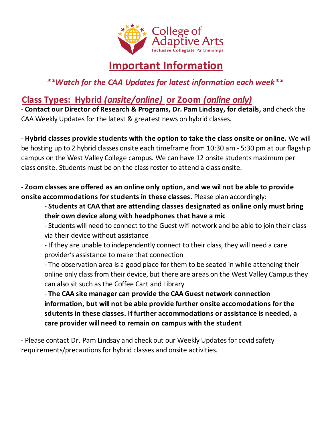

# **Important Information**

*\*\*Watch for the CAA Updates for latest information each week\*\**

## **Class Types: Hybrid** *(onsite/online)* **or Zoom** *(online only)*

- **Contact our Director of Research & Programs, Dr. Pam Lindsay, for details,** and check the CAA Weekly Updates for the latest & greatest news on hybrid classes.

- **Hybrid classes provide students with the option to take the class onsite or online.** We will be hosting up to 2 hybrid classes onsite each timeframe from 10:30 am - 5:30 pm at our flagship campus on the West Valley College campus. We can have 12 onsite students maximum per class onsite. Students must be on the class roster to attend a class onsite.

- **Zoom classes are offered as an online only option, and we wil not be able to provide onsite accommodations for students in these classes.** Please plan accordingly:

- **Students at CAA that are attending classes designated as online only must bring their own device along with headphones that have a mic**

- Students will need to connect to the Guest wifi network and be able to join their class via their device without assistance

- If they are unable to independently connect to their class, they will need a care provider's assistance to make that connection

- The observation area is a good place for them to be seated in while attending their online only class from their device, but there are areas on the West Valley Campus they can also sit such as the Coffee Cart and Library

- **The CAA site manager can provide the CAA Guest network connection information, but will not be able provide further onsite accomodations for the sdutents in these classes. If further accommodations or assistance is needed, a care provider will need to remain on campus with the student**

- Please contact Dr. Pam Lindsay and check out our Weekly Updates for covid safety requirements/precautions for hybrid classes and onsite activities.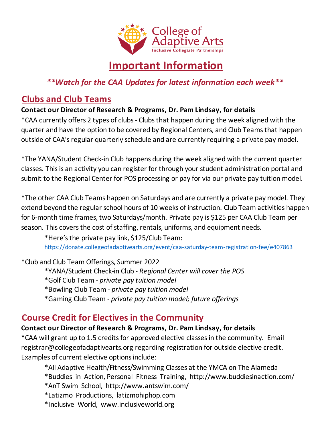

# **Important Information**

#### *\*\*Watch for the CAA Updates for latest information each week\*\**

### **Clubs and Club Teams**

#### **Contact our Director of Research & Programs, Dr. Pam Lindsay, for details**

\*CAA currently offers 2 types of clubs - Clubs that happen during the week aligned with the quarter and have the option to be covered by Regional Centers, and Club Teams that happen outside of CAA's regular quarterly schedule and are currently requiring a private pay model.

\*The YANA/Student Check-in Club happens during the week aligned with the current quarter classes. This is an activity you can register for through your student administration portal and submit to the Regional Center for POS processing or pay for via our private pay tuition model.

\*The other CAA Club Teams happen on Saturdays and are currently a private pay model. They extend beyond the regular school hours of 10 weeks of instruction. Club Team activities happen for 6-month time frames, two Saturdays/month. Private pay is \$125 per CAA Club Team per season. This covers the cost of staffing, rentals, uniforms, and equipment needs.

https://donate.collegeofadaptivearts.org/event/caa-saturday-team-registration-fee/e407863 \*Here's the private pay link, \$125/Club Team:

\*Club and Club Team Offerings, Summer 2022

- \*YANA/Student Check-in Club *Regional Center will cover the POS*
- \*Golf Club Team *private pay tuition model*
- \*Bowling Club Team *private pay tuition model*
- \*Gaming Club Team *private pay tuition model; future offerings*

### **Course Credit for Electives in the Community**

#### **Contact our Director of Research & Programs, Dr. Pam Lindsay, for details**

\*CAA will grant up to 1.5 credits for approved elective classes in the community. Email registrar@collegeofadaptivearts.org regarding registration for outside elective credit. Examples of current elective options include:

- \*All Adaptive Health/Fitness/Swimming Classes at the YMCA on The Alameda
- \*Buddies in Action, Personal Fitness Training, http://www.buddiesinaction.com/
- \*AnT Swim School, http://www.antswim.com/
- \*Latizmo Productions, latizmohiphop.com
- \*Inclusive World, www.inclusiveworld.org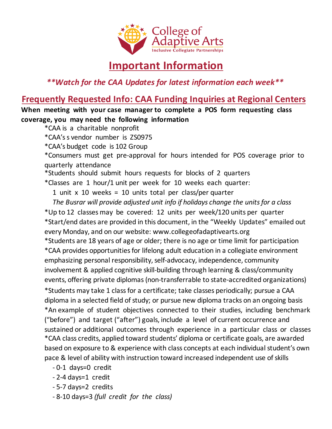

## **Important Information**

*\*\*Watch for the CAA Updates for latest information each week\*\**

#### **Frequently Requested Info: CAA Funding Inquiries at Regional Centers**

**When meeting with your case manager to complete a POS form requesting class coverage, you may need the following information**

- \*CAA is a charitable nonprofit
- \*CAA's s vendor number is ZS0975
- \*CAA's budget code is 102 Group

\*Consumers must get pre-approval for hours intended for POS coverage prior to quarterly attendance

\*Students should submit hours requests for blocks of 2 quarters

\*Classes are 1 hour/1 unit per week for 10 weeks each quarter:

1 unit x 10 weeks = 10 units total per class/per quarter

 *The Busrar will provide adjusted unit info if holidays change the units for a class* \*Up to 12 classes may be covered: 12 units per week/120 units per quarter

\*Start/end dates are provided in this document, in the "Weekly Updates" emailed out every Monday, and on our website: www.collegeofadaptivearts.org

\*An example of student objectives connected to their studies, including benchmark ("before") and target ("after") goals, include a level of current occurrence and sustained or additional outcomes through experience in a particular class or classes \*CAA class credits, applied toward students' diploma or certificate goals, are awarded based on exposure to & experience with class concepts at each individual student's own pace & level of ability with instruction toward increased independent use of skills \*Students are 18 years of age or older; there is no age or time limit for participation \*Students may take 1 class for a certificate; take classes periodically; pursue a CAA diploma in a selected field of study; or pursue new diploma tracks on an ongoing basis \*CAA provides opportunities for lifelong adult education in a collegiate environment emphasizing personal responsibility, self-advocacy, independence, community involvement & applied cognitive skill-building through learning & class/community events, offering private diplomas (non-transferrable to state-accredited organizations)

- 0-1 days=0 credit
- 2-4 days=1 credit
- 5-7 days=2 credits
- 8-10 days=3 *(full credit for the class)*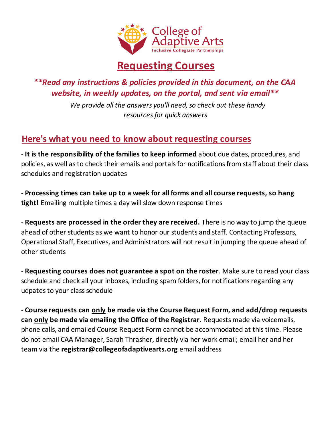

### *\*\*Read any instructions & policies provided in this document, on the CAA website, in weekly updates, on the portal, and sent via email\*\**

 *We provide all the answers you'll need, so check out these handy resources for quick answers* 

### **Here's what you need to know about requesting courses**

- **It is the responsibility of the families to keep informed** about due dates, procedures, and policies, as well as to check their emails and portals for notifications from staff about their class schedules and registration updates

- **Processing times can take up to a week for all forms and all course requests, so hang tight!** Emailing multiple times a day will slow down response times

- **Requests are processed in the order they are received.** There is no way to jump the queue ahead of other students as we want to honor our students and staff. Contacting Professors, Operational Staff, Executives, and Administrators will not result in jumping the queue ahead of other students

- **Requesting courses does not guarantee a spot on the roster**. Make sure to read your class schedule and check all your inboxes, including spam folders, for notifications regarding any udpates to your class schedule

- **Course requests can only be made via the Course Request Form, and add/drop requests can only be made via emailing the Office of the Registrar**. Requests made via voicemails, phone calls, and emailed Course Request Form cannot be accommodated at this time. Please do not email CAA Manager, Sarah Thrasher, directly via her work email; email her and her team via the **registrar@collegeofadaptivearts.org** email address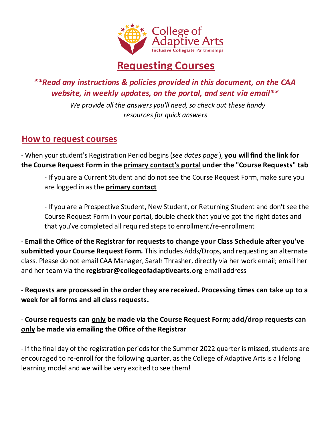

*\*\*Read any instructions & policies provided in this document, on the CAA website, in weekly updates, on the portal, and sent via email\*\**

> *We provide all the answers you'll need, so check out these handy resources for quick answers*

#### **How to request courses**

- When your student's Registration Period begins (*see dates page* ), **you will find the link for the Course Request Form in the primary contact's portal under the "Course Requests" tab** 

- If you are a Current Student and do not see the Course Request Form, make sure you are logged in as the **primary contact**

- If you are a Prospective Student, New Student, or Returning Student and don't see the Course Request Form in your portal, double check that you've got the right dates and that you've completed all required steps to enrollment/re-enrollment

- **Email the Office of the Registrar for requests to change your Class Schedule after you've submitted your Course Request Form.** This includes Adds/Drops, and requesting an alternate class. Please do not email CAA Manager, Sarah Thrasher, directly via her work email; email her and her team via the **registrar@collegeofadaptivearts.org** email address

- **Requests are processed in the order they are received. Processing times can take up to a week for all forms and all class requests.**

- **Course requests can only be made via the Course Request Form; add/drop requests can only be made via emailing the Office of the Registrar**

- If the final day of the registration periods for the Summer 2022 quarter is missed, students are encouraged to re-enroll for the following quarter, as the College of Adaptive Arts is a lifelong learning model and we will be very excited to see them!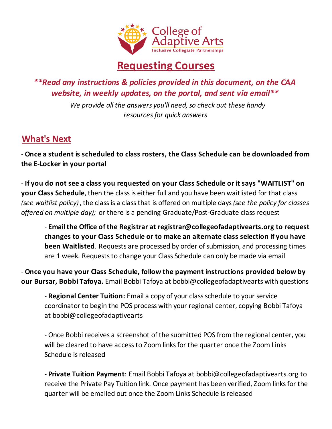

*\*\*Read any instructions & policies provided in this document, on the CAA website, in weekly updates, on the portal, and sent via email\*\**

> *We provide all the answers you'll need, so check out these handy resources for quick answers*

### **What's Next**

- **Once a student is scheduled to class rosters, the Class Schedule can be downloaded from the E-Locker in your portal**

- **If you do not see a class you requested on your Class Schedule or it says "WAITLIST" on your Class Schedule**, then the class is either full and you have been waitlisted for that class *(see waitlist policy)*, the class is a class that is offered on multiple days *(see the policy for classes offered on multiple day);* or there is a pending Graduate/Post-Graduate class request

- **Email the Office of the Registrar at registrar@collegeofadaptivearts.org to request changes to your Class Schedule or to make an alternate class selection if you have been Waitlisted**. Requests are processed by order of submission, and processing times are 1 week. Requests to change your Class Schedule can only be made via email

- **Once you have your Class Schedule, follow the payment instructions provided below by our Bursar, Bobbi Tafoya.** Email Bobbi Tafoya at bobbi@collegeofadaptivearts with questions

- **Regional Center Tuition:** Email a copy of your class schedule to your service coordinator to begin the POS process with your regional center, copying Bobbi Tafoya at bobbi@collegeofadaptivearts

- Once Bobbi receives a screenshot of the submitted POS from the regional center, you will be cleared to have access to Zoom links for the quarter once the Zoom Links Schedule is released

- **Private Tuition Payment**: Email Bobbi Tafoya at bobbi@collegeofadaptivearts.org to receive the Private Pay Tuition link. Once payment has been verified, Zoom links for the quarter will be emailed out once the Zoom Links Schedule is released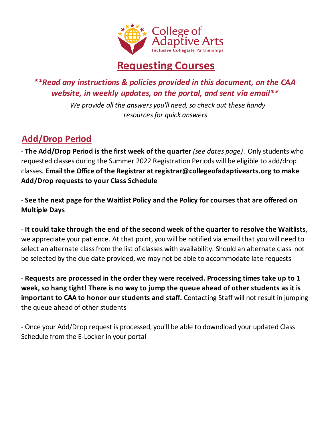

*\*\*Read any instructions & policies provided in this document, on the CAA website, in weekly updates, on the portal, and sent via email\*\**

> *We provide all the answers you'll need, so check out these handy resources for quick answers*

## **Add/Drop Period**

- **The Add/Drop Period is the first week of the quarter** *(see dates page)*. Only students who requested classes during the Summer 2022 Registration Periods will be eligible to add/drop classes. **Email the Office of the Registrar at registrar@collegeofadaptivearts.org to make Add/Drop requests to your Class Schedule**

- **See the next page for the Waitlist Policy and the Policy for courses that are offered on Multiple Days**

- **It could take through the end of the second week of the quarter to resolve the Waitlists**, we appreciate your patience. At that point, you will be notified via email that you will need to select an alternate class from the list of classes with availability. Should an alternate class not be selected by the due date provided, we may not be able to accommodate late requests

- **Requests are processed in the order they were received. Processing times take up to 1 week, so hang tight! There is no way to jump the queue ahead of other students as it is important to CAA to honor our students and staff.** Contacting Staff will not result in jumping the queue ahead of other students

- Once your Add/Drop request is processed, you'll be able to downdload your updated Class Schedule from the E-Locker in your portal